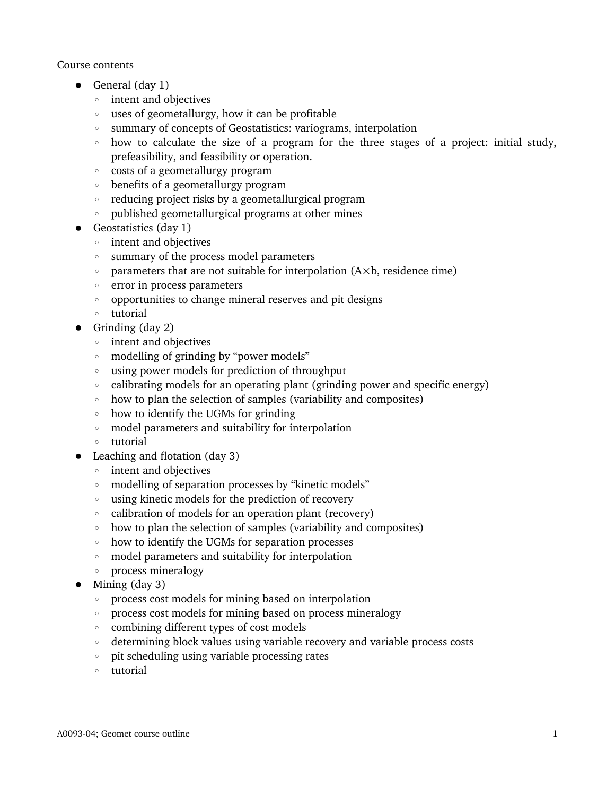#### Course contents

- General (day 1)
	- intent and objectives
	- uses of geometallurgy, how it can be profitable
	- summary of concepts of Geostatistics: variograms, interpolation
	- how to calculate the size of a program for the three stages of a project: initial study, prefeasibility, and feasibility or operation.
	- costs of a geometallurgy program
	- benefits of a geometallurgy program
	- reducing project risks by a geometallurgical program
	- published geometallurgical programs at other mines
- Geostatistics (day 1)
	- intent and objectives
	- summary of the process model parameters
	- parameters that are not suitable for interpolation (A×b, residence time)
	- error in process parameters
	- opportunities to change mineral reserves and pit designs
	- tutorial
- Grinding (day 2)
	- intent and objectives
	- modelling of grinding by "power models"
	- using power models for prediction of throughput
	- calibrating models for an operating plant (grinding power and specific energy)
	- how to plan the selection of samples (variability and composites)
	- how to identify the UGMs for grinding
	- model parameters and suitability for interpolation
	- tutorial
- Leaching and flotation (day 3)
	- intent and objectives
	- modelling of separation processes by "kinetic models"
	- using kinetic models for the prediction of recovery
	- calibration of models for an operation plant (recovery)
	- how to plan the selection of samples (variability and composites)
	- how to identify the UGMs for separation processes
	- model parameters and suitability for interpolation
	- process mineralogy
- $\bullet$  Mining (day 3)
	- process cost models for mining based on interpolation
	- process cost models for mining based on process mineralogy
	- combining different types of cost models
	- determining block values using variable recovery and variable process costs
	- pit scheduling using variable processing rates
	- tutorial